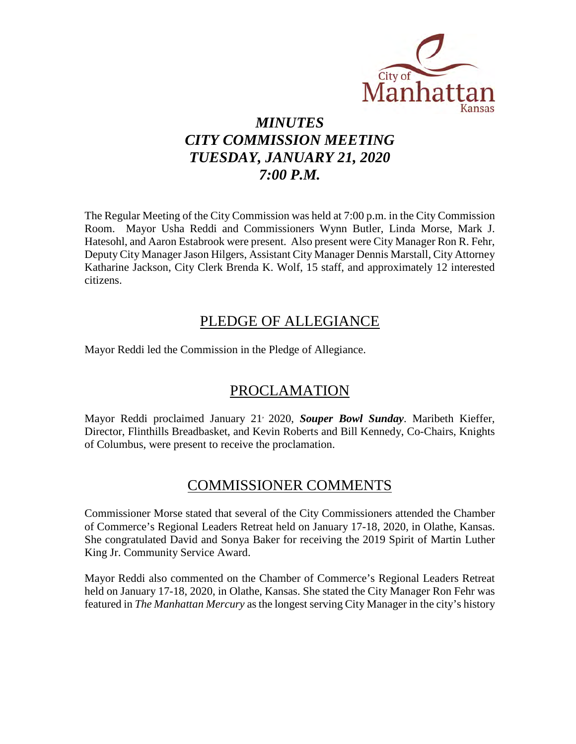

# *MINUTES CITY COMMISSION MEETING TUESDAY, JANUARY 21, 2020 7:00 P.M.*

The Regular Meeting of the City Commission was held at 7:00 p.m. in the City Commission Room. Mayor Usha Reddi and Commissioners Wynn Butler, Linda Morse, Mark J. Hatesohl, and Aaron Estabrook were present. Also present were City Manager Ron R. Fehr, Deputy City Manager Jason Hilgers, Assistant City Manager Dennis Marstall, City Attorney Katharine Jackson, City Clerk Brenda K. Wolf, 15 staff, and approximately 12 interested citizens.

## PLEDGE OF ALLEGIANCE

Mayor Reddi led the Commission in the Pledge of Allegiance.

## PROCLAMATION

Mayor Reddi proclaimed January 21, 2020, *Souper Bowl Sunday*. Maribeth Kieffer, Director, Flinthills Breadbasket, and Kevin Roberts and Bill Kennedy, Co-Chairs, Knights of Columbus, were present to receive the proclamation.

## COMMISSIONER COMMENTS

Commissioner Morse stated that several of the City Commissioners attended the Chamber of Commerce's Regional Leaders Retreat held on January 17-18, 2020, in Olathe, Kansas. She congratulated David and Sonya Baker for receiving the 2019 Spirit of Martin Luther King Jr. Community Service Award.

Mayor Reddi also commented on the Chamber of Commerce's Regional Leaders Retreat held on January 17-18, 2020, in Olathe, Kansas. She stated the City Manager Ron Fehr was featured in *The Manhattan Mercury* as the longest serving City Manager in the city's history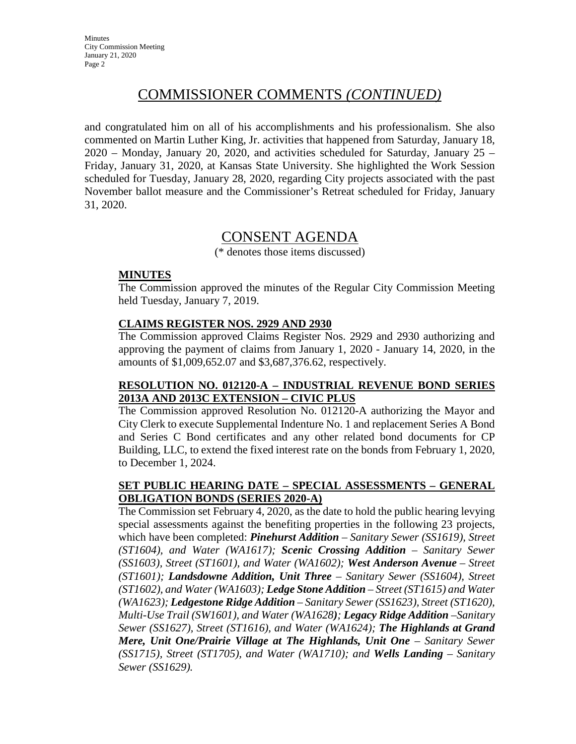## COMMISSIONER COMMENTS *(CONTINUED)*

and congratulated him on all of his accomplishments and his professionalism. She also commented on Martin Luther King, Jr. activities that happened from Saturday, January 18, 2020 – Monday, January 20, 2020, and activities scheduled for Saturday, January 25 – Friday, January 31, 2020, at Kansas State University. She highlighted the Work Session scheduled for Tuesday, January 28, 2020, regarding City projects associated with the past November ballot measure and the Commissioner's Retreat scheduled for Friday, January 31, 2020.

## CONSENT AGENDA

(\* denotes those items discussed)

### **MINUTES**

The Commission approved the minutes of the Regular City Commission Meeting held Tuesday, January 7, 2019.

### **CLAIMS REGISTER NOS. 2929 AND 2930**

The Commission approved Claims Register Nos. 2929 and 2930 authorizing and approving the payment of claims from January 1, 2020 - January 14, 2020, in the amounts of \$1,009,652.07 and \$3,687,376.62, respectively.

### **RESOLUTION NO. 012120-A – INDUSTRIAL REVENUE BOND SERIES 2013A AND 2013C EXTENSION – CIVIC PLUS**

The Commission approved Resolution No. 012120-A authorizing the Mayor and City Clerk to execute Supplemental Indenture No. 1 and replacement Series A Bond and Series C Bond certificates and any other related bond documents for CP Building, LLC, to extend the fixed interest rate on the bonds from February 1, 2020, to December 1, 2024.

### **SET PUBLIC HEARING DATE – SPECIAL ASSESSMENTS – GENERAL OBLIGATION BONDS (SERIES 2020-A)**

The Commission set February 4, 2020, as the date to hold the public hearing levying special assessments against the benefiting properties in the following 23 projects, which have been completed: *Pinehurst Addition – Sanitary Sewer (SS1619), Street (ST1604), and Water (WA1617); Scenic Crossing Addition – Sanitary Sewer (SS1603), Street (ST1601), and Water (WA1602); West Anderson Avenue – Street (ST1601); Landsdowne Addition, Unit Three – Sanitary Sewer (SS1604), Street (ST1602), and Water (WA1603); Ledge Stone Addition – Street (ST1615) and Water (WA1623); Ledgestone Ridge Addition – Sanitary Sewer (SS1623), Street (ST1620), Multi-Use Trail (SW1601), and Water (WA1628); Legacy Ridge Addition –Sanitary Sewer (SS1627), Street (ST1616), and Water (WA1624); The Highlands at Grand Mere, Unit One/Prairie Village at The Highlands, Unit One – Sanitary Sewer (SS1715), Street (ST1705), and Water (WA1710); and Wells Landing – Sanitary Sewer (SS1629).*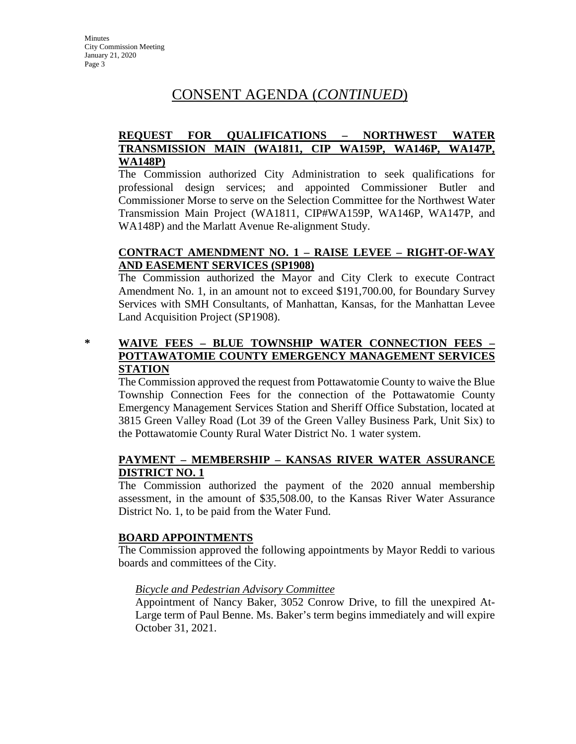## CONSENT AGENDA (*CONTINUED*)

### **REQUEST FOR QUALIFICATIONS – NORTHWEST WATER TRANSMISSION MAIN (WA1811, CIP WA159P, WA146P, WA147P, WA148P)**

The Commission authorized City Administration to seek qualifications for professional design services; and appointed Commissioner Butler and Commissioner Morse to serve on the Selection Committee for the Northwest Water Transmission Main Project (WA1811, CIP#WA159P, WA146P, WA147P, and WA148P) and the Marlatt Avenue Re-alignment Study.

## **CONTRACT AMENDMENT NO. 1 – RAISE LEVEE – RIGHT-OF-WAY AND EASEMENT SERVICES (SP1908)**

The Commission authorized the Mayor and City Clerk to execute Contract Amendment No. 1, in an amount not to exceed \$191,700.00, for Boundary Survey Services with SMH Consultants, of Manhattan, Kansas, for the Manhattan Levee Land Acquisition Project (SP1908).

## **\* WAIVE FEES – BLUE TOWNSHIP WATER CONNECTION FEES – POTTAWATOMIE COUNTY EMERGENCY MANAGEMENT SERVICES STATION**

The Commission approved the request from Pottawatomie County to waive the Blue Township Connection Fees for the connection of the Pottawatomie County Emergency Management Services Station and Sheriff Office Substation, located at 3815 Green Valley Road (Lot 39 of the Green Valley Business Park, Unit Six) to the Pottawatomie County Rural Water District No. 1 water system.

## **PAYMENT – MEMBERSHIP – KANSAS RIVER WATER ASSURANCE DISTRICT NO. 1**

The Commission authorized the payment of the 2020 annual membership assessment, in the amount of \$35,508.00, to the Kansas River Water Assurance District No. 1, to be paid from the Water Fund.

### **BOARD APPOINTMENTS**

The Commission approved the following appointments by Mayor Reddi to various boards and committees of the City.

#### *Bicycle and Pedestrian Advisory Committee*

Appointment of Nancy Baker, 3052 Conrow Drive, to fill the unexpired At-Large term of Paul Benne. Ms. Baker's term begins immediately and will expire October 31, 2021.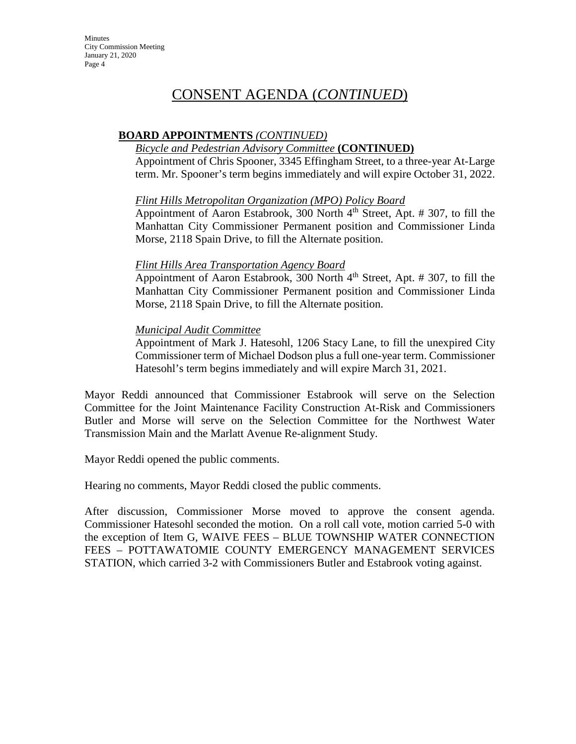## CONSENT AGENDA (*CONTINUED*)

## **BOARD APPOINTMENTS** *(CONTINUED)*

## *Bicycle and Pedestrian Advisory Committee* **(CONTINUED)**

Appointment of Chris Spooner, 3345 Effingham Street, to a three-year At-Large term. Mr. Spooner's term begins immediately and will expire October 31, 2022.

#### *Flint Hills Metropolitan Organization (MPO) Policy Board*

Appointment of Aaron Estabrook, 300 North  $4<sup>th</sup>$  Street, Apt. # 307, to fill the Manhattan City Commissioner Permanent position and Commissioner Linda Morse, 2118 Spain Drive, to fill the Alternate position.

#### *Flint Hills Area Transportation Agency Board*

Appointment of Aaron Estabrook, 300 North  $4<sup>th</sup>$  Street, Apt. # 307, to fill the Manhattan City Commissioner Permanent position and Commissioner Linda Morse, 2118 Spain Drive, to fill the Alternate position.

#### *Municipal Audit Committee*

Appointment of Mark J. Hatesohl, 1206 Stacy Lane, to fill the unexpired City Commissioner term of Michael Dodson plus a full one-year term. Commissioner Hatesohl's term begins immediately and will expire March 31, 2021.

Mayor Reddi announced that Commissioner Estabrook will serve on the Selection Committee for the Joint Maintenance Facility Construction At-Risk and Commissioners Butler and Morse will serve on the Selection Committee for the Northwest Water Transmission Main and the Marlatt Avenue Re-alignment Study.

Mayor Reddi opened the public comments.

Hearing no comments, Mayor Reddi closed the public comments.

After discussion, Commissioner Morse moved to approve the consent agenda. Commissioner Hatesohl seconded the motion. On a roll call vote, motion carried 5-0 with the exception of Item G, WAIVE FEES – BLUE TOWNSHIP WATER CONNECTION FEES – POTTAWATOMIE COUNTY EMERGENCY MANAGEMENT SERVICES STATION, which carried 3-2 with Commissioners Butler and Estabrook voting against.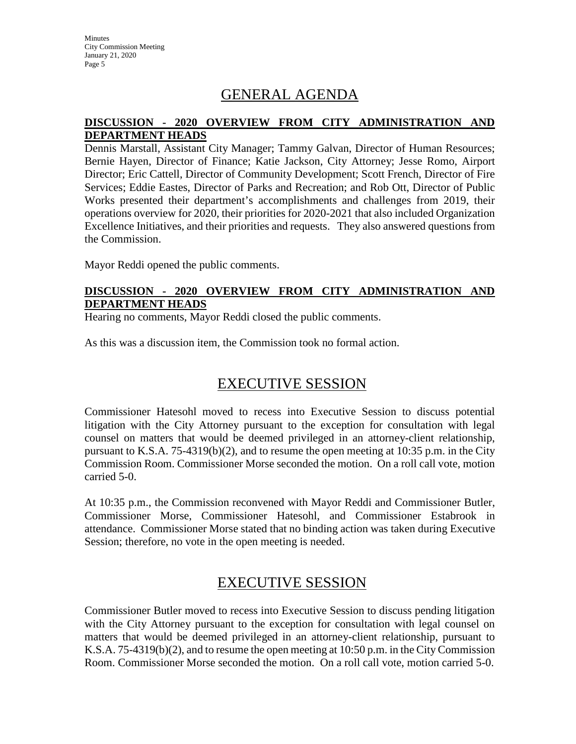**Minutes** City Commission Meeting January 21, 2020 Page 5

## GENERAL AGENDA

### **DISCUSSION - 2020 OVERVIEW FROM CITY ADMINISTRATION AND DEPARTMENT HEADS**

Dennis Marstall, Assistant City Manager; Tammy Galvan, Director of Human Resources; Bernie Hayen, Director of Finance; Katie Jackson, City Attorney; Jesse Romo, Airport Director; Eric Cattell, Director of Community Development; Scott French, Director of Fire Services; Eddie Eastes, Director of Parks and Recreation; and Rob Ott, Director of Public Works presented their department's accomplishments and challenges from 2019, their operations overview for 2020, their priorities for 2020-2021 that also included Organization Excellence Initiatives, and their priorities and requests. They also answered questions from the Commission.

Mayor Reddi opened the public comments.

### **DISCUSSION - 2020 OVERVIEW FROM CITY ADMINISTRATION AND DEPARTMENT HEADS**

Hearing no comments, Mayor Reddi closed the public comments.

As this was a discussion item, the Commission took no formal action.

## EXECUTIVE SESSION

Commissioner Hatesohl moved to recess into Executive Session to discuss potential litigation with the City Attorney pursuant to the exception for consultation with legal counsel on matters that would be deemed privileged in an attorney-client relationship, pursuant to K.S.A. 75-4319(b)(2), and to resume the open meeting at 10:35 p.m. in the City Commission Room. Commissioner Morse seconded the motion. On a roll call vote, motion carried 5-0.

At 10:35 p.m., the Commission reconvened with Mayor Reddi and Commissioner Butler, Commissioner Morse, Commissioner Hatesohl, and Commissioner Estabrook in attendance. Commissioner Morse stated that no binding action was taken during Executive Session; therefore, no vote in the open meeting is needed.

## EXECUTIVE SESSION

Commissioner Butler moved to recess into Executive Session to discuss pending litigation with the City Attorney pursuant to the exception for consultation with legal counsel on matters that would be deemed privileged in an attorney-client relationship, pursuant to K.S.A. 75-4319(b)(2), and to resume the open meeting at 10:50 p.m. in the City Commission Room. Commissioner Morse seconded the motion. On a roll call vote, motion carried 5-0.